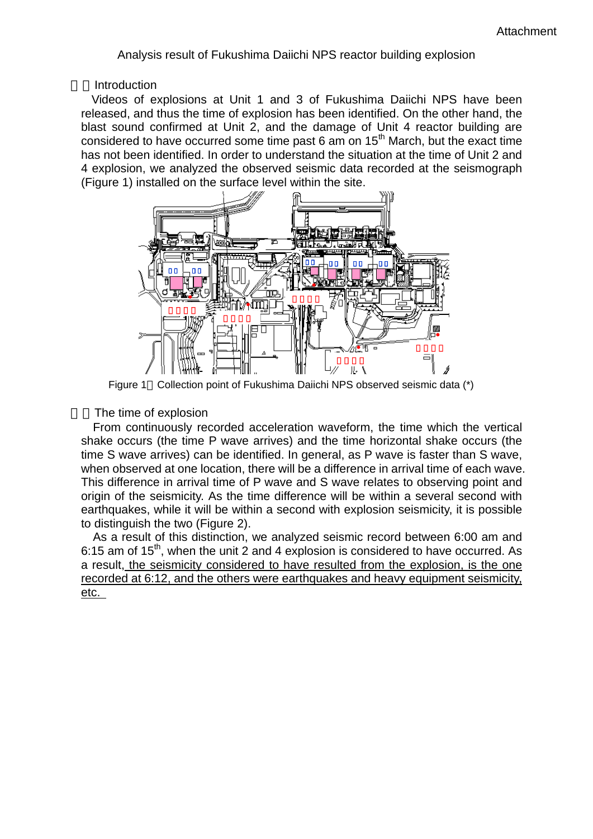Analysis result of Fukushima Daiichi NPS reactor building explosion

**Introduction** 

Videos of explosions at Unit 1 and 3 of Fukushima Daiichi NPS have been released, and thus the time of explosion has been identified. On the other hand, the blast sound confirmed at Unit 2, and the damage of Unit 4 reactor building are considered to have occurred some time past 6 am on 15<sup>th</sup> March, but the exact time has not been identified. In order to understand the situation at the time of Unit 2 and 4 explosion, we analyzed the observed seismic data recorded at the seismograph (Figure 1) installed on the surface level within the site.



Figure 1 Collection point of Fukushima Daiichi NPS observed seismic data (\*)

The time of explosion

From continuously recorded acceleration waveform, the time which the vertical shake occurs (the time P wave arrives) and the time horizontal shake occurs (the time S wave arrives) can be identified. In general, as P wave is faster than S wave, when observed at one location, there will be a difference in arrival time of each wave. This difference in arrival time of P wave and S wave relates to observing point and origin of the seismicity. As the time difference will be within a several second with earthquakes, while it will be within a second with explosion seismicity, it is possible to distinguish the two (Figure 2).

As a result of this distinction, we analyzed seismic record between 6:00 am and 6:15 am of  $15<sup>th</sup>$ , when the unit 2 and 4 explosion is considered to have occurred. As a result, the seismicity considered to have resulted from the explosion, is the one recorded at 6:12, and the others were earthquakes and heavy equipment seismicity, etc.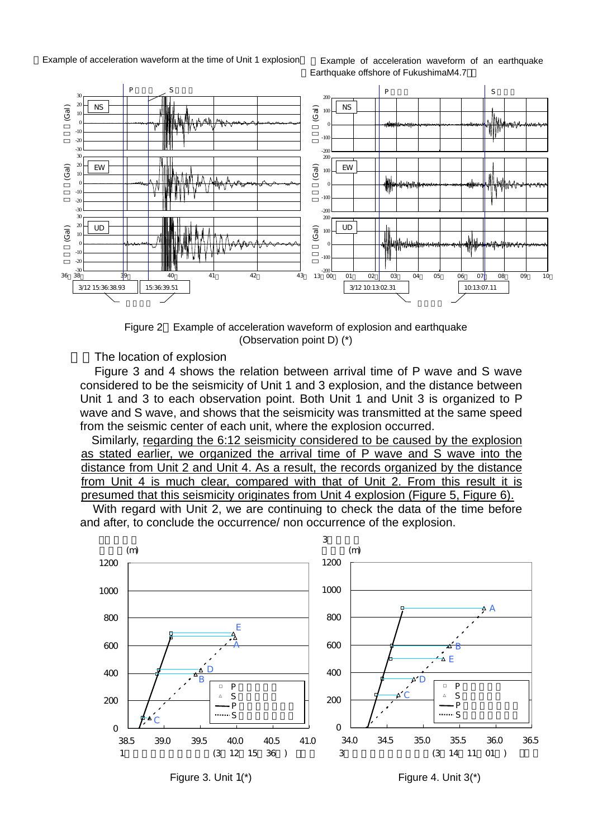Example of acceleration waveform at the time of Unit 1 explosion Example of acceleration waveform of an earthquake

Earthquake offshore of FukushimaM4.7



Figure 2 Example of acceleration waveform of explosion and earthquake (Observation point D) (\*)

The location of explosion

Figure 3 and 4 shows the relation between arrival time of P wave and S wave considered to be the seismicity of Unit 1 and 3 explosion, and the distance between Unit 1 and 3 to each observation point. Both Unit 1 and Unit 3 is organized to P wave and S wave, and shows that the seismicity was transmitted at the same speed from the seismic center of each unit, where the explosion occurred.

Similarly, regarding the 6:12 seismicity considered to be caused by the explosion as stated earlier, we organized the arrival time of P wave and S wave into the distance from Unit 2 and Unit 4. As a result, the records organized by the distance from Unit 4 is much clear, compared with that of Unit 2. From this result it is presumed that this seismicity originates from Unit 4 explosion (Figure 5, Figure 6).

With regard with Unit 2, we are continuing to check the data of the time before and after, to conclude the occurrence/ non occurrence of the explosion.

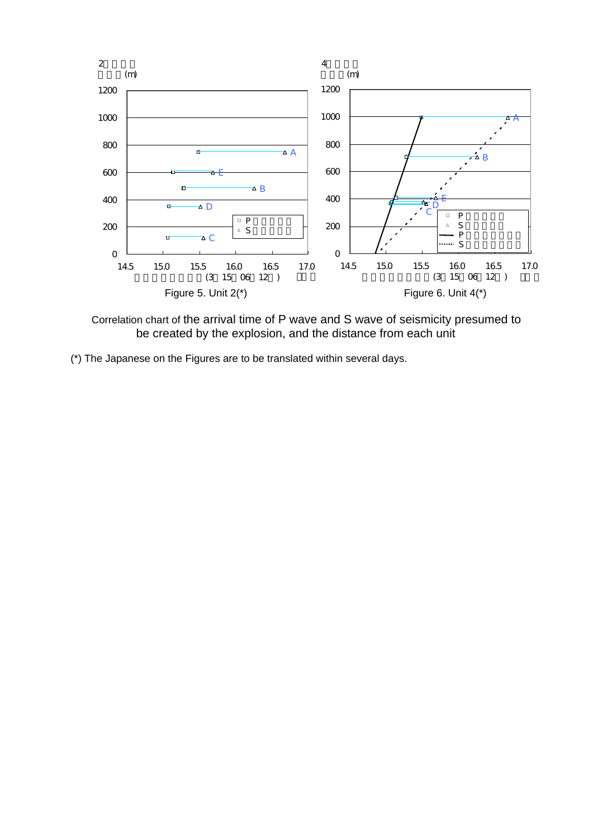

 Correlation chart of the arrival time of P wave and S wave of seismicity presumed to be created by the explosion, and the distance from each unit

(\*) The Japanese on the Figures are to be translated within several days.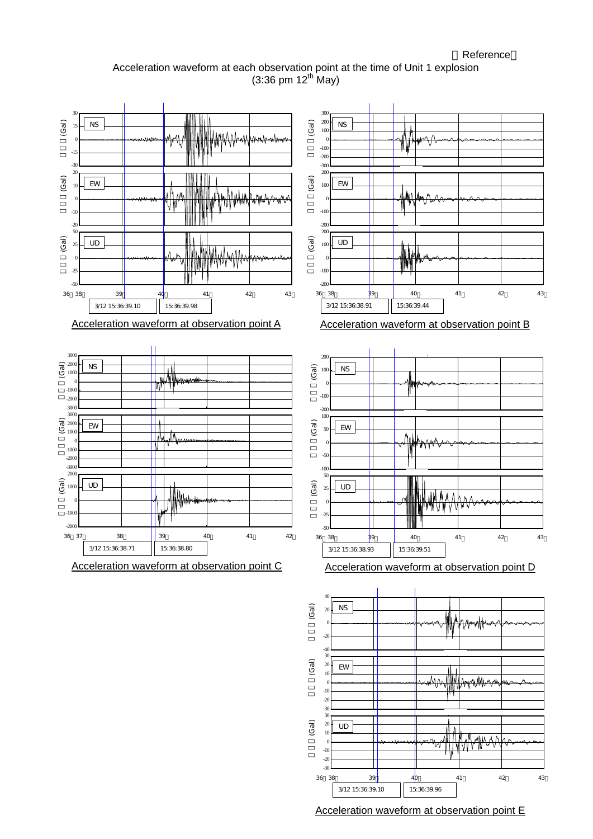Acceleration waveform at each observation point at the time of Unit 1 explosion  $(3:36 \text{ pm } 12^{\text{th}} \text{ May})$ 



Acceleration waveform at observation point E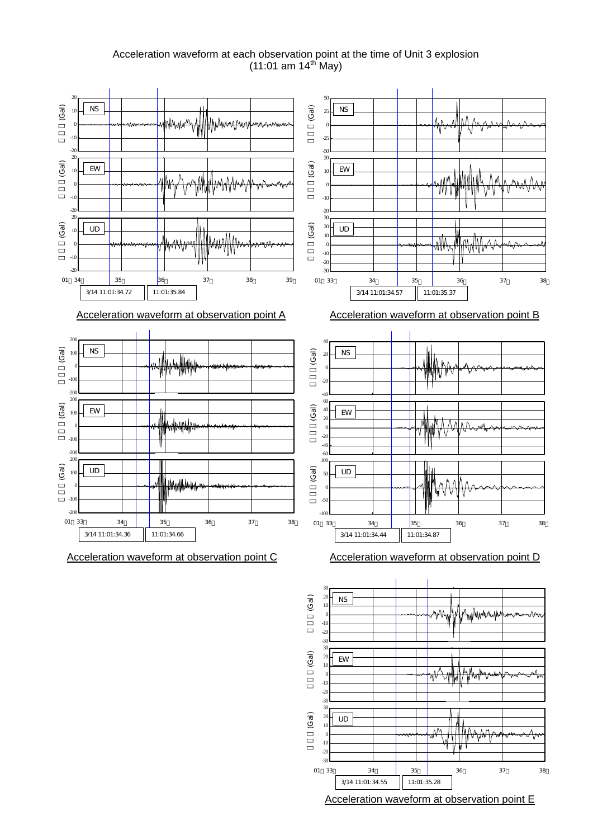Acceleration waveform at each observation point at the time of Unit 3 explosion  $(11:01$  am 14<sup>th</sup> May)